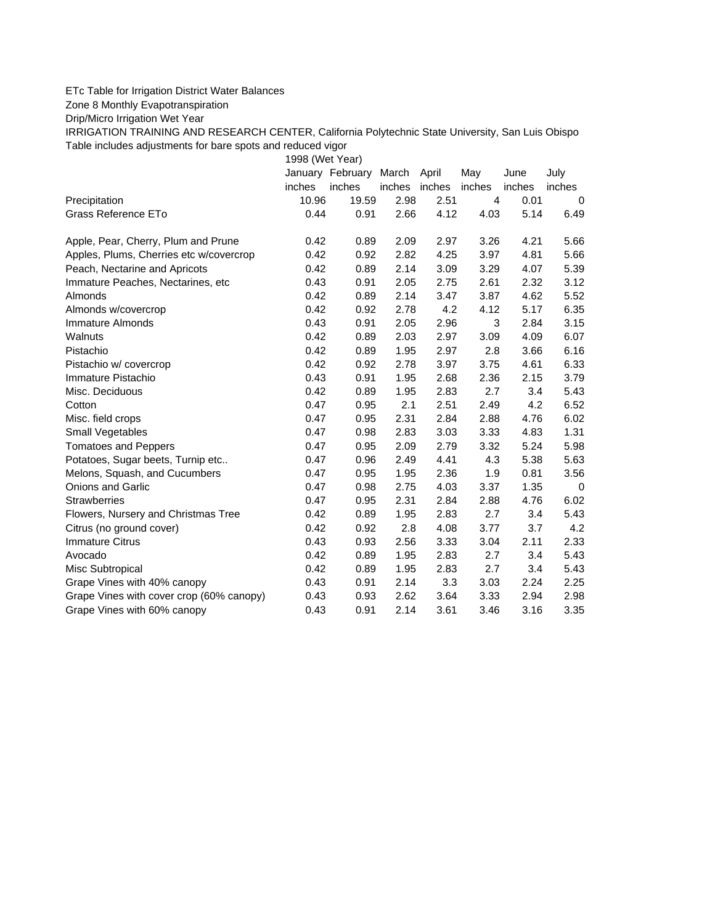## ETc Table for Irrigation District Water Balances

Zone 8 Monthly Evapotranspiration

Drip/Micro Irrigation Wet Year

IRRIGATION TRAINING AND RESEARCH CENTER, California Polytechnic State University, San Luis Obispo Table includes adjustments for bare spots and reduced vigor

1998 (Wet Year)

|                                          |        | January February | March  | April  | May            | June   | July        |
|------------------------------------------|--------|------------------|--------|--------|----------------|--------|-------------|
|                                          | inches | inches           | inches | inches | inches         | inches | inches      |
| Precipitation                            | 10.96  | 19.59            | 2.98   | 2.51   | $\overline{4}$ | 0.01   | 0           |
| Grass Reference ETo                      | 0.44   | 0.91             | 2.66   | 4.12   | 4.03           | 5.14   | 6.49        |
| Apple, Pear, Cherry, Plum and Prune      | 0.42   | 0.89             | 2.09   | 2.97   | 3.26           | 4.21   | 5.66        |
| Apples, Plums, Cherries etc w/covercrop  | 0.42   | 0.92             | 2.82   | 4.25   | 3.97           | 4.81   | 5.66        |
| Peach, Nectarine and Apricots            | 0.42   | 0.89             | 2.14   | 3.09   | 3.29           | 4.07   | 5.39        |
| Immature Peaches, Nectarines, etc        | 0.43   | 0.91             | 2.05   | 2.75   | 2.61           | 2.32   | 3.12        |
| <b>Almonds</b>                           | 0.42   | 0.89             | 2.14   | 3.47   | 3.87           | 4.62   | 5.52        |
| Almonds w/covercrop                      | 0.42   | 0.92             | 2.78   | 4.2    | 4.12           | 5.17   | 6.35        |
| Immature Almonds                         | 0.43   | 0.91             | 2.05   | 2.96   | 3              | 2.84   | 3.15        |
| Walnuts                                  | 0.42   | 0.89             | 2.03   | 2.97   | 3.09           | 4.09   | 6.07        |
| Pistachio                                | 0.42   | 0.89             | 1.95   | 2.97   | 2.8            | 3.66   | 6.16        |
| Pistachio w/ covercrop                   | 0.42   | 0.92             | 2.78   | 3.97   | 3.75           | 4.61   | 6.33        |
| Immature Pistachio                       | 0.43   | 0.91             | 1.95   | 2.68   | 2.36           | 2.15   | 3.79        |
| Misc. Deciduous                          | 0.42   | 0.89             | 1.95   | 2.83   | 2.7            | 3.4    | 5.43        |
| Cotton                                   | 0.47   | 0.95             | 2.1    | 2.51   | 2.49           | 4.2    | 6.52        |
| Misc. field crops                        | 0.47   | 0.95             | 2.31   | 2.84   | 2.88           | 4.76   | 6.02        |
| <b>Small Vegetables</b>                  | 0.47   | 0.98             | 2.83   | 3.03   | 3.33           | 4.83   | 1.31        |
| <b>Tomatoes and Peppers</b>              | 0.47   | 0.95             | 2.09   | 2.79   | 3.32           | 5.24   | 5.98        |
| Potatoes, Sugar beets, Turnip etc        | 0.47   | 0.96             | 2.49   | 4.41   | 4.3            | 5.38   | 5.63        |
| Melons, Squash, and Cucumbers            | 0.47   | 0.95             | 1.95   | 2.36   | 1.9            | 0.81   | 3.56        |
| <b>Onions and Garlic</b>                 | 0.47   | 0.98             | 2.75   | 4.03   | 3.37           | 1.35   | $\mathbf 0$ |
| <b>Strawberries</b>                      | 0.47   | 0.95             | 2.31   | 2.84   | 2.88           | 4.76   | 6.02        |
| Flowers, Nursery and Christmas Tree      | 0.42   | 0.89             | 1.95   | 2.83   | 2.7            | 3.4    | 5.43        |
| Citrus (no ground cover)                 | 0.42   | 0.92             | 2.8    | 4.08   | 3.77           | 3.7    | 4.2         |
| <b>Immature Citrus</b>                   | 0.43   | 0.93             | 2.56   | 3.33   | 3.04           | 2.11   | 2.33        |
| Avocado                                  | 0.42   | 0.89             | 1.95   | 2.83   | 2.7            | 3.4    | 5.43        |
| Misc Subtropical                         | 0.42   | 0.89             | 1.95   | 2.83   | 2.7            | 3.4    | 5.43        |
| Grape Vines with 40% canopy              | 0.43   | 0.91             | 2.14   | 3.3    | 3.03           | 2.24   | 2.25        |
| Grape Vines with cover crop (60% canopy) | 0.43   | 0.93             | 2.62   | 3.64   | 3.33           | 2.94   | 2.98        |
| Grape Vines with 60% canopy              | 0.43   | 0.91             | 2.14   | 3.61   | 3.46           | 3.16   | 3.35        |